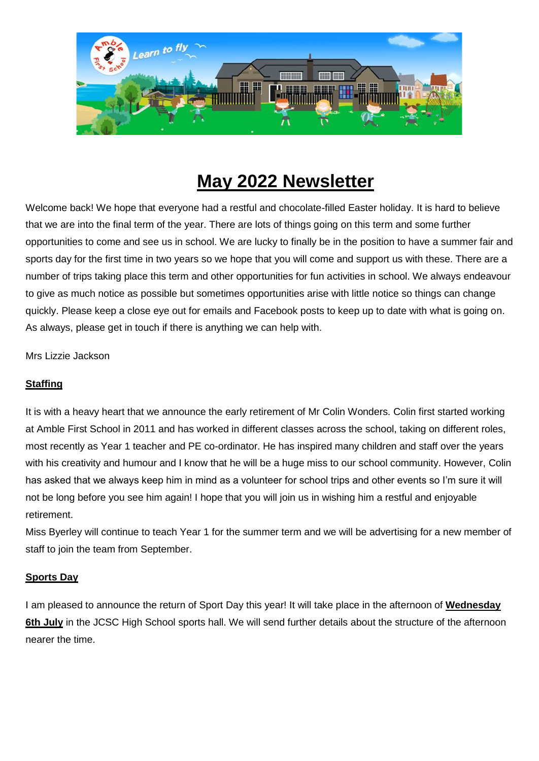

# **May 2022 Newsletter**

Welcome back! We hope that everyone had a restful and chocolate-filled Easter holiday. It is hard to believe that we are into the final term of the year. There are lots of things going on this term and some further opportunities to come and see us in school. We are lucky to finally be in the position to have a summer fair and sports day for the first time in two years so we hope that you will come and support us with these. There are a number of trips taking place this term and other opportunities for fun activities in school. We always endeavour to give as much notice as possible but sometimes opportunities arise with little notice so things can change quickly. Please keep a close eye out for emails and Facebook posts to keep up to date with what is going on. As always, please get in touch if there is anything we can help with.

Mrs Lizzie Jackson

# **Staffing**

It is with a heavy heart that we announce the early retirement of Mr Colin Wonders. Colin first started working at Amble First School in 2011 and has worked in different classes across the school, taking on different roles, most recently as Year 1 teacher and PE co-ordinator. He has inspired many children and staff over the years with his creativity and humour and I know that he will be a huge miss to our school community. However, Colin has asked that we always keep him in mind as a volunteer for school trips and other events so I'm sure it will not be long before you see him again! I hope that you will join us in wishing him a restful and enjoyable retirement.

Miss Byerley will continue to teach Year 1 for the summer term and we will be advertising for a new member of staff to join the team from September.

# **Sports Day**

I am pleased to announce the return of Sport Day this year! It will take place in the afternoon of **Wednesday 6th July** in the JCSC High School sports hall. We will send further details about the structure of the afternoon nearer the time.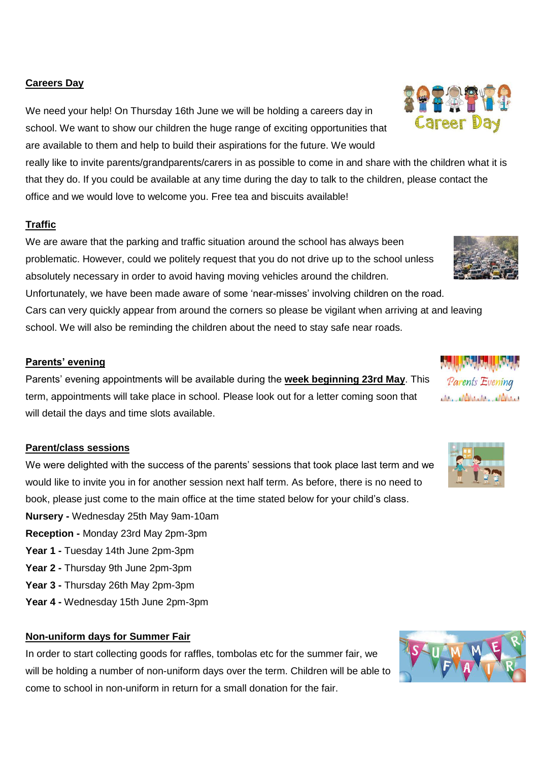# **Careers Day**

We need your help! On Thursday 16th June we will be holding a careers day in school. We want to show our children the huge range of exciting opportunities that are available to them and help to build their aspirations for the future. We would

really like to invite parents/grandparents/carers in as possible to come in and share with the children what it is that they do. If you could be available at any time during the day to talk to the children, please contact the office and we would love to welcome you. Free tea and biscuits available!

# **Traffic**

We are aware that the parking and traffic situation around the school has always been problematic. However, could we politely request that you do not drive up to the school unless absolutely necessary in order to avoid having moving vehicles around the children.

Unfortunately, we have been made aware of some 'near-misses' involving children on the road. Cars can very quickly appear from around the corners so please be vigilant when arriving at and leaving school. We will also be reminding the children about the need to stay safe near roads.

# **Parents' evening**

Parents' evening appointments will be available during the **week beginning 23rd May**. This term, appointments will take place in school. Please look out for a letter coming soon that will detail the days and time slots available.

# **Parent/class sessions**

We were delighted with the success of the parents' sessions that took place last term and we would like to invite you in for another session next half term. As before, there is no need to book, please just come to the main office at the time stated below for your child's class.

- **Nursery -** Wednesday 25th May 9am-10am
- **Reception -** Monday 23rd May 2pm-3pm
- **Year 1 -** Tuesday 14th June 2pm-3pm
- **Year 2 -** Thursday 9th June 2pm-3pm
- **Year 3 -** Thursday 26th May 2pm-3pm
- **Year 4 -** Wednesday 15th June 2pm-3pm

# **Non-uniform days for Summer Fair**

In order to start collecting goods for raffles, tombolas etc for the summer fair, we will be holding a number of non-uniform days over the term. Children will be able to come to school in non-uniform in return for a small donation for the fair.









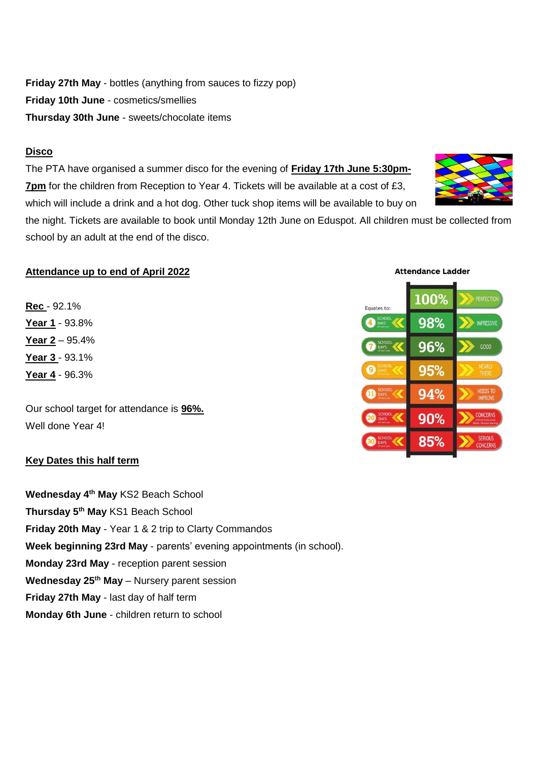**Friday 27th May** - bottles (anything from sauces to fizzy pop) **Friday 10th June** - cosmetics/smellies **Thursday 30th June** - sweets/chocolate items

# **Disco**

The PTA have organised a summer disco for the evening of **Friday 17th June 5:30pm-7pm** for the children from Reception to Year 4. Tickets will be available at a cost of £3, which will include a drink and a hot dog. Other tuck shop items will be available to buy on

the night. Tickets are available to book until Monday 12th June on Eduspot. All children must be collected from school by an adult at the end of the disco.

# **Attendance up to end of April 2022**

**Rec** - 92.1% **Year 1** - 93.8% **Year 2** – 95.4% **Year 3** - 93.1% **Year 4** - 96.3%

Our school target for attendance is **96%.** Well done Year 4!

# **Key Dates this half term**

**Wednesday 4th May** KS2 Beach School **Thursday 5th May** KS1 Beach School **Friday 20th May** - Year 1 & 2 trip to Clarty Commandos **Week beginning 23rd May** - parents' evening appointments (in school). **Monday 23rd May** - reception parent session **Wednesday 25th May** – Nursery parent session **Friday 27th May** - last day of half term **Monday 6th June** - children return to school

**Attendance Ladder** 100% Equates to 98% IMPRESSIVE 96%  $GOOD$ 95% NEEDS TO 94% **CONCERN**  $90%$ 85% **CONCERI** 

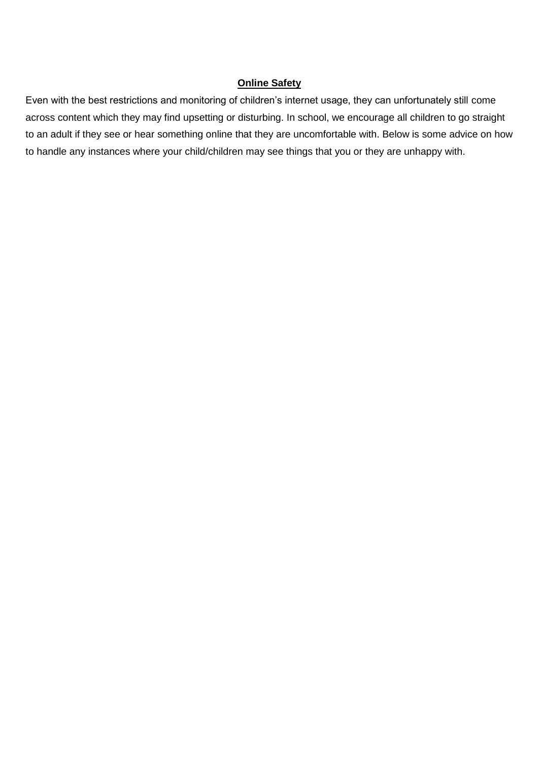# **Online Safety**

Even with the best restrictions and monitoring of children's internet usage, they can unfortunately still come across content which they may find upsetting or disturbing. In school, we encourage all children to go straight to an adult if they see or hear something online that they are uncomfortable with. Below is some advice on how to handle any instances where your child/children may see things that you or they are unhappy with.